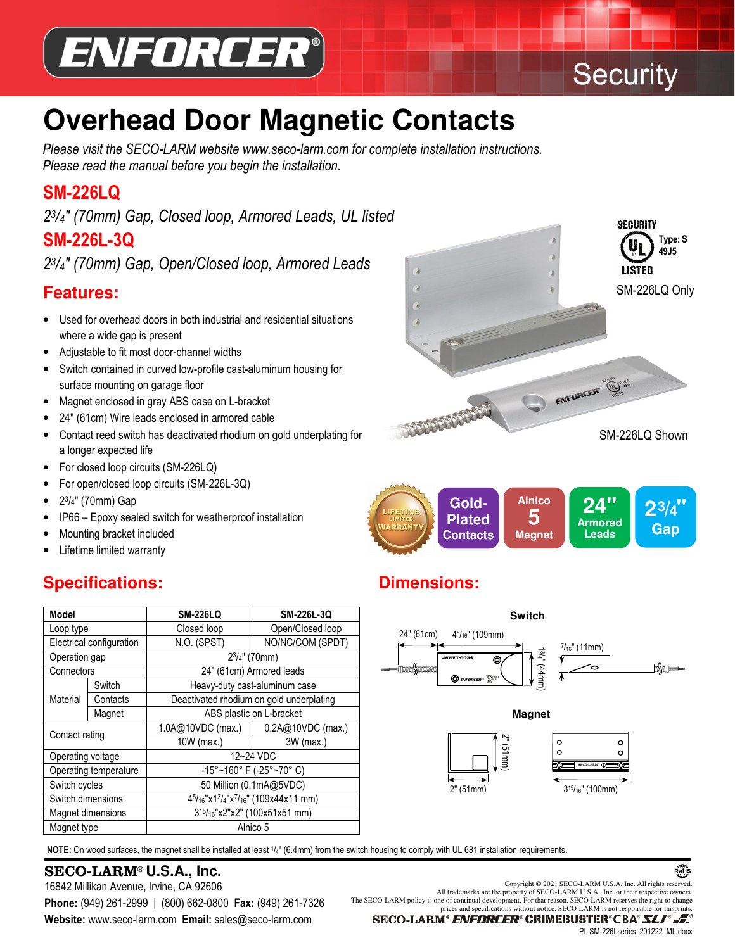

# **Security**

**SECURITY** 

**Type: S 49J5** 

### **Overhead Door Magnetic Contacts**  $\overline{a}$

*Please visit the SECO-LARM website www.seco-larm.com for complete installation instructions. Please read the manual before you begin the installation.* 

### **SM-226LQ**

*2 3 /4″ (70mm) Gap, Closed loop, Armored Leads, UL listed* **SM-226L-3Q** 

*2 3 /4″ (70mm) Gap, Open/Closed loop, Armored Leads*

### **Features:**

- Used for overhead doors in both industrial and residential situations where a wide gap is present
- Adjustable to fit most door-channel widths
- Switch contained in curved low-profile cast-aluminum housing for surface mounting on garage floor
- Magnet enclosed in gray ABS case on L-bracket
- 24″ (61cm) Wire leads enclosed in armored cable
- Contact reed switch has deactivated rhodium on gold underplating for a longer expected life
- For closed loop circuits (SM-226LQ)
- I • For open/closed loop circuits (SM-226L-3Q)
- 2 3 /4″ (70mm) Gap
- IP66 Epoxy sealed switch for weatherproof installation
- Mounting bracket included
- Lifetime limited warranty

### **Specifications:**

| <b>Model</b>             |          | <b>SM-226LQ</b>                                                                       | SM-226L-3Q        |  |
|--------------------------|----------|---------------------------------------------------------------------------------------|-------------------|--|
| Loop type                |          | Closed loop                                                                           | Open/Closed loop  |  |
| Electrical configuration |          | N.O. (SPST)                                                                           | NO/NC/COM (SPDT)  |  |
| Operation gap            |          | $2^{3}/4$ " (70mm)                                                                    |                   |  |
| Connectors               |          | 24" (61cm) Armored leads                                                              |                   |  |
| Material                 | Switch   | Heavy-duty cast-aluminum case                                                         |                   |  |
|                          | Contacts | Deactivated rhodium on gold underplating                                              |                   |  |
|                          | Magnet   | ABS plastic on L-bracket                                                              |                   |  |
| Contact rating           |          | 1.0A@10VDC (max.)                                                                     | 0.2A@10VDC (max.) |  |
|                          |          | 10W (max.)                                                                            | 3W (max.)         |  |
| Operating voltage        |          | 12~24 VDC                                                                             |                   |  |
| Operating temperature    |          | $-15^{\circ}$ ~160° F (-25° ~70° C)                                                   |                   |  |
| Switch cycles            |          | 50 Million (0.1mA@5VDC)                                                               |                   |  |
| Switch dimensions        |          | 45/ <sub>16</sub> "x13/ <sub>4</sub> "x <sup>7</sup> / <sub>16</sub> " (109x44x11 mm) |                   |  |
| Magnet dimensions        |          | 3 <sup>15</sup> / <sub>16</sub> "x2"x2" (100x51x51 mm)                                |                   |  |
| Magnet type              |          | Alnico 5                                                                              |                   |  |

NOTE: On wood surfaces, the magnet shall be installed at least 1/4" (6.4mm) from the switch housing to comply with UL 681 installation requirements.

# SECO-LARM® **U.S.A., Inc.**

 **Website:** www.seco-larm.com **Email:** sales@seco-larm.com 16842 Millikan Avenue, Irvine, CA 92606 **Phone:** (949) 261-2999 | (800) 662-0800 **Fax:** (949) 261-7326 The SECO-LARM policy is one of continual development. For that reason, SECO-LARM reserves the right to change

LISTED SM-226LQ Only ENFORCER® (White **PLACED BEFORE** SM-226LQ Shown



## **Dimensions:**



All trademarks are the property of SECO-LARM U.S.A., Inc. or their respective owners.

PI\_SM-226Lseries\_201222\_ML.docx

Ŕ¢ĤS